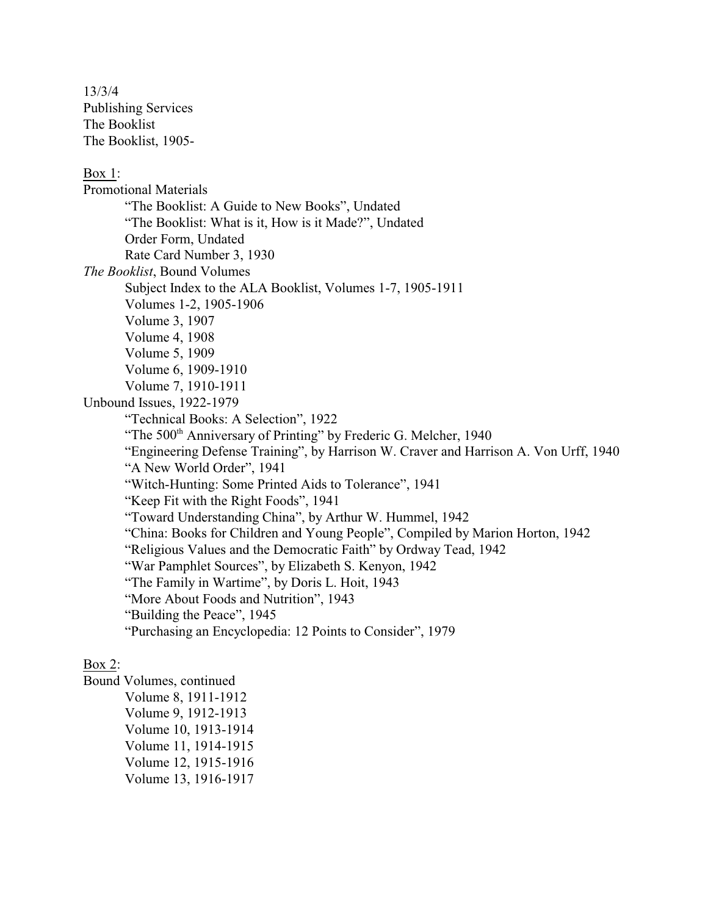13/3/4 Publishing Services The Booklist The Booklist, 1905- Box 1: Promotional Materials "The Booklist: A Guide to New Books", Undated "The Booklist: What is it, How is it Made?", Undated Order Form, Undated Rate Card Number 3, 1930 *The Booklist*, Bound Volumes Subject Index to the ALA Booklist, Volumes 1-7, 1905-1911 Volumes 1-2, 1905-1906 Volume 3, 1907 Volume 4, 1908 Volume 5, 1909 Volume 6, 1909-1910 Volume 7, 1910-1911 Unbound Issues, 1922-1979 "Technical Books: A Selection", 1922 "The 500<sup>th</sup> Anniversary of Printing" by Frederic G. Melcher, 1940 "Engineering Defense Training", by Harrison W. Craver and Harrison A. Von Urff, 1940 "A New World Order", 1941 "Witch-Hunting: Some Printed Aids to Tolerance", 1941 "Keep Fit with the Right Foods", 1941 "Toward Understanding China", by Arthur W. Hummel, 1942 "China: Books for Children and Young People", Compiled by Marion Horton, 1942 "Religious Values and the Democratic Faith" by Ordway Tead, 1942 "War Pamphlet Sources", by Elizabeth S. Kenyon, 1942 "The Family in Wartime", by Doris L. Hoit, 1943 "More About Foods and Nutrition", 1943 "Building the Peace", 1945 "Purchasing an Encyclopedia: 12 Points to Consider", 1979

## Box 2:

Bound Volumes, continued Volume 8, 1911-1912 Volume 9, 1912-1913 Volume 10, 1913-1914 Volume 11, 1914-1915 Volume 12, 1915-1916 Volume 13, 1916-1917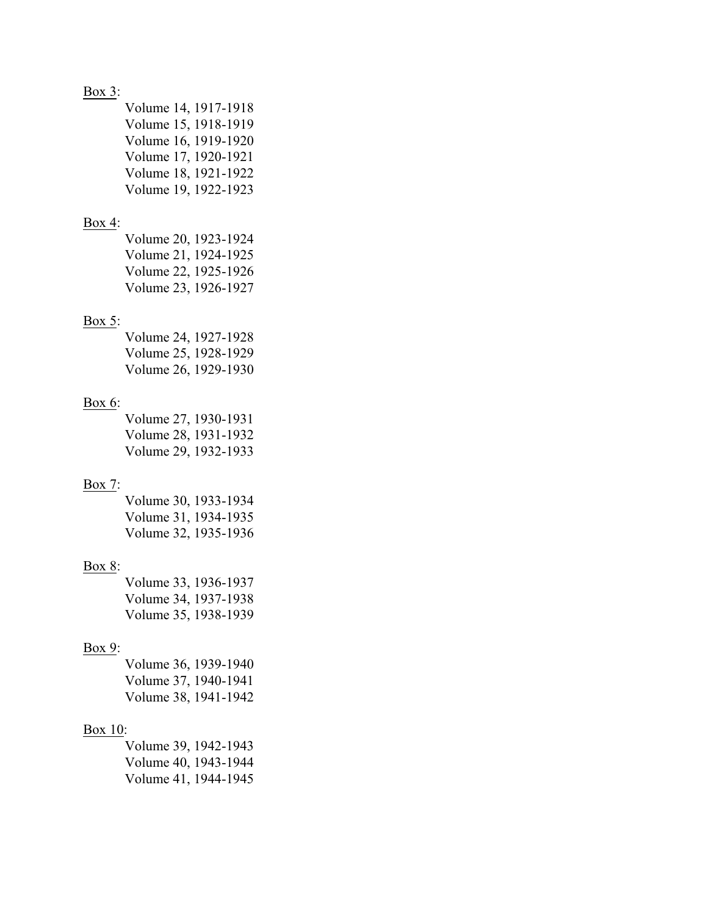# Box 3:

|  | Volume 14, 1917-1918 |
|--|----------------------|
|  | Volume 15, 1918-1919 |
|  | Volume 16, 1919-1920 |
|  | Volume 17, 1920-1921 |
|  | Volume 18, 1921-1922 |
|  | Volume 19, 1922-1923 |
|  |                      |

## Box 4:

| Volume 20, 1923-1924 |  |
|----------------------|--|
| Volume 21, 1924-1925 |  |
| Volume 22, 1925-1926 |  |
| Volume 23, 1926-1927 |  |

## Box  $5$ :

| Volume 24, 1927-1928 |  |
|----------------------|--|
| Volume 25, 1928-1929 |  |
| Volume 26, 1929-1930 |  |

# Box 6:

Volume 27, 1930-1931 Volume 28, 1931-1932 Volume 29, 1932-1933

# Box 7:

Volume 30, 1933-1934 Volume 31, 1934-1935 Volume 32, 1935-1936

# Box 8:

Volume 33, 1936-1937 Volume 34, 1937-1938 Volume 35, 1938-1939

# Box 9:

Volume 36, 1939-1940 Volume 37, 1940-1941 Volume 38, 1941-1942

# Box 10:

Volume 39, 1942-1943 Volume 40, 1943-1944 Volume 41, 1944-1945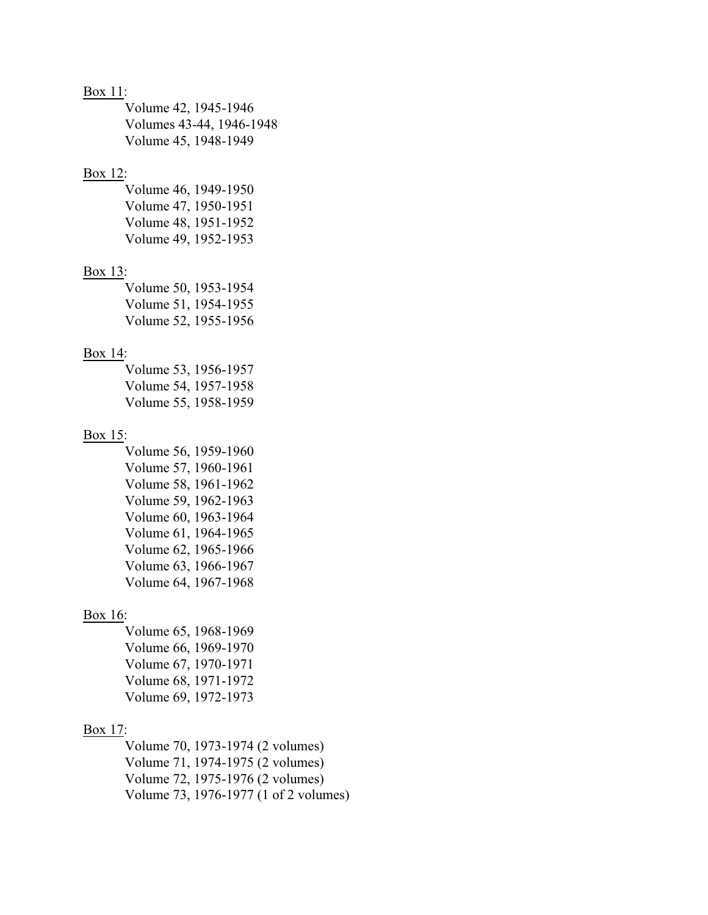### Box 11:

Volume 42, 1945-1946 Volumes 43-44, 1946-1948 Volume 45, 1948-1949

## Box 12:

| Volume 46, 1949-1950 |  |
|----------------------|--|
| Volume 47, 1950-1951 |  |
| Volume 48, 1951-1952 |  |
| Volume 49, 1952-1953 |  |

#### Box 13:

Volume 50, 1953-1954 Volume 51, 1954-1955 Volume 52, 1955-1956

#### Box 14:

Volume 53, 1956-1957 Volume 54, 1957-1958 Volume 55, 1958-1959

#### Box 15:

Volume 56, 1959-1960 Volume 57, 1960-1961 Volume 58, 1961-1962 Volume 59, 1962-1963 Volume 60, 1963-1964 Volume 61, 1964-1965 Volume 62, 1965-1966 Volume 63, 1966-1967 Volume 64, 1967-1968

#### Box 16:

Volume 65, 1968-1969 Volume 66, 1969-1970 Volume 67, 1970-1971 Volume 68, 1971-1972 Volume 69, 1972-1973

### Box 17:

Volume 70, 1973-1974 (2 volumes) Volume 71, 1974-1975 (2 volumes) Volume 72, 1975-1976 (2 volumes) Volume 73, 1976-1977 (1 of 2 volumes)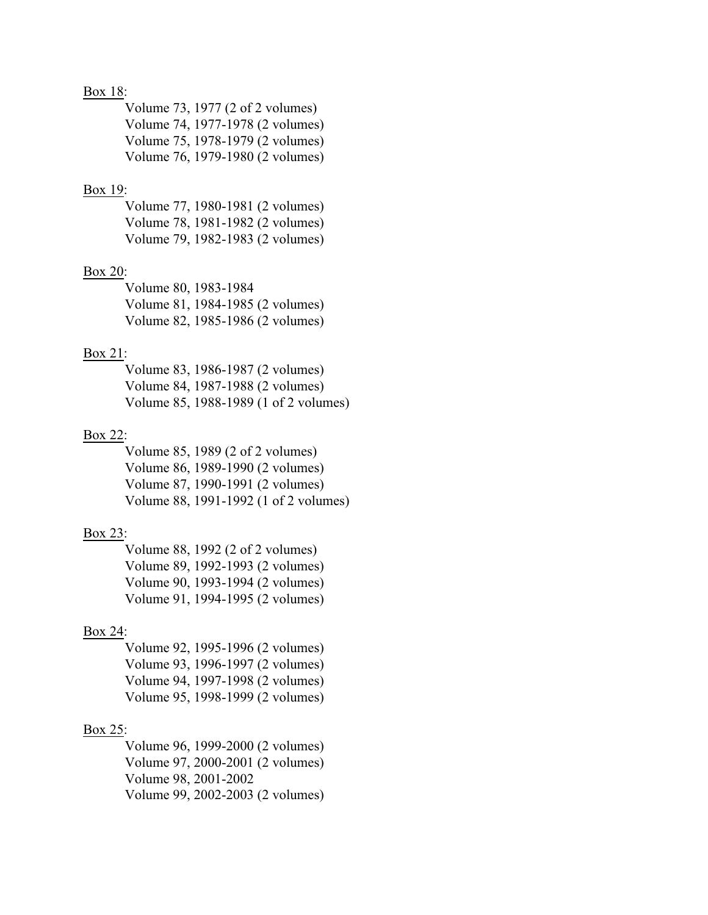### Box 18:

Volume 73, 1977 (2 of 2 volumes) Volume 74, 1977-1978 (2 volumes) Volume 75, 1978-1979 (2 volumes) Volume 76, 1979-1980 (2 volumes)

## Box 19:

Volume 77, 1980-1981 (2 volumes) Volume 78, 1981-1982 (2 volumes) Volume 79, 1982-1983 (2 volumes)

#### Box 20:

Volume 80, 1983-1984 Volume 81, 1984-1985 (2 volumes) Volume 82, 1985-1986 (2 volumes)

### Box 21:

Volume 83, 1986-1987 (2 volumes) Volume 84, 1987-1988 (2 volumes) Volume 85, 1988-1989 (1 of 2 volumes)

#### Box 22:

Volume 85, 1989 (2 of 2 volumes) Volume 86, 1989-1990 (2 volumes) Volume 87, 1990-1991 (2 volumes) Volume 88, 1991-1992 (1 of 2 volumes)

## Box 23:

Volume 88, 1992 (2 of 2 volumes) Volume 89, 1992-1993 (2 volumes) Volume 90, 1993-1994 (2 volumes) Volume 91, 1994-1995 (2 volumes)

#### Box 24:

Volume 92, 1995-1996 (2 volumes) Volume 93, 1996-1997 (2 volumes) Volume 94, 1997-1998 (2 volumes) Volume 95, 1998-1999 (2 volumes)

#### Box 25:

Volume 96, 1999-2000 (2 volumes) Volume 97, 2000-2001 (2 volumes) Volume 98, 2001-2002 Volume 99, 2002-2003 (2 volumes)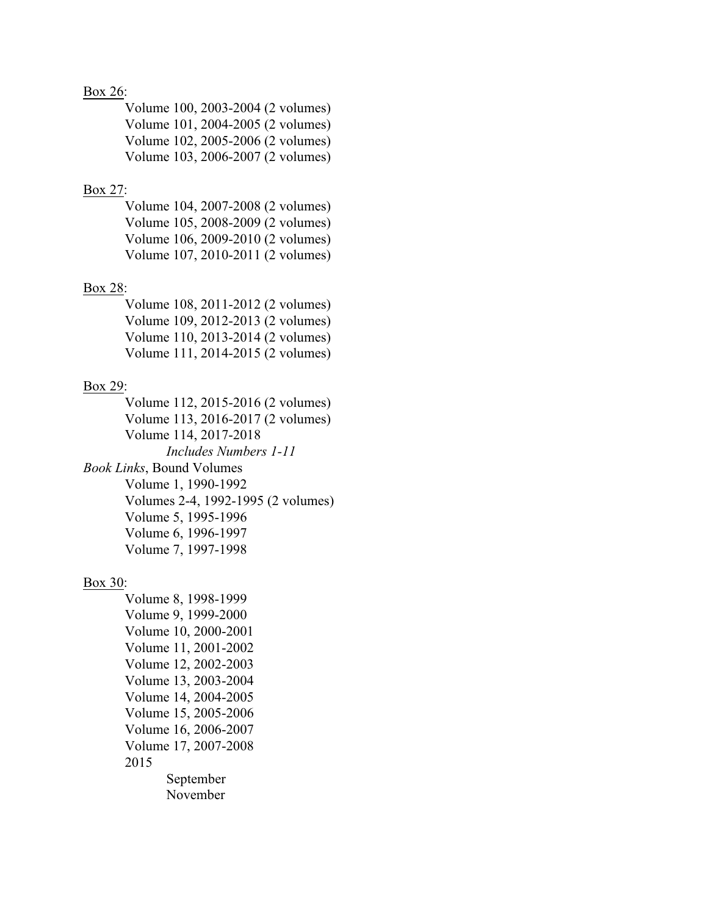## Box 26:

Volume 100, 2003-2004 (2 volumes) Volume 101, 2004-2005 (2 volumes) Volume 102, 2005-2006 (2 volumes) Volume 103, 2006-2007 (2 volumes)

## Box 27:

Volume 104, 2007-2008 (2 volumes) Volume 105, 2008-2009 (2 volumes) Volume 106, 2009-2010 (2 volumes) Volume 107, 2010-2011 (2 volumes)

### Box 28:

Volume 108, 2011-2012 (2 volumes) Volume 109, 2012-2013 (2 volumes) Volume 110, 2013-2014 (2 volumes) Volume 111, 2014-2015 (2 volumes)

#### Box 29:

Volume 112, 2015-2016 (2 volumes) Volume 113, 2016-2017 (2 volumes) Volume 114, 2017-2018 *Includes Numbers 1-11 Book Links*, Bound Volumes Volume 1, 1990-1992 Volumes 2-4, 1992-1995 (2 volumes) Volume 5, 1995-1996 Volume 6, 1996-1997 Volume 7, 1997-1998

#### Box 30:

Volume 8, 1998-1999 Volume 9, 1999-2000 Volume 10, 2000-2001 Volume 11, 2001-2002 Volume 12, 2002-2003 Volume 13, 2003-2004 Volume 14, 2004-2005 Volume 15, 2005-2006 Volume 16, 2006-2007 Volume 17, 2007-2008 2015 September

November